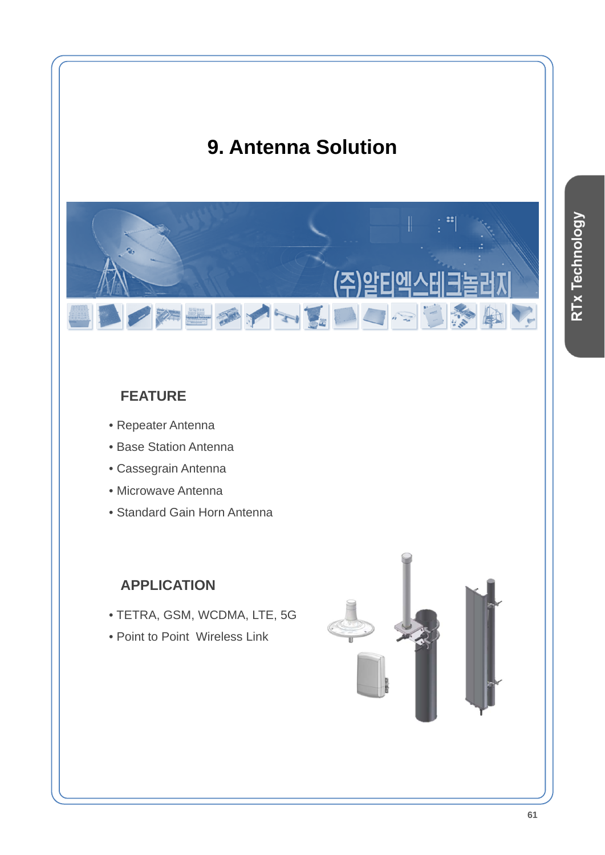# **9. Antenna Solution**



# **FEATURE**

- Repeater Antenna
- Base Station Antenna
- Cassegrain Antenna
- Microwave Antenna
- Standard Gain Horn Antenna

# **APPLICATION**

- TETRA, GSM, WCDMA, LTE, 5G
- Point to Point Wireless Link

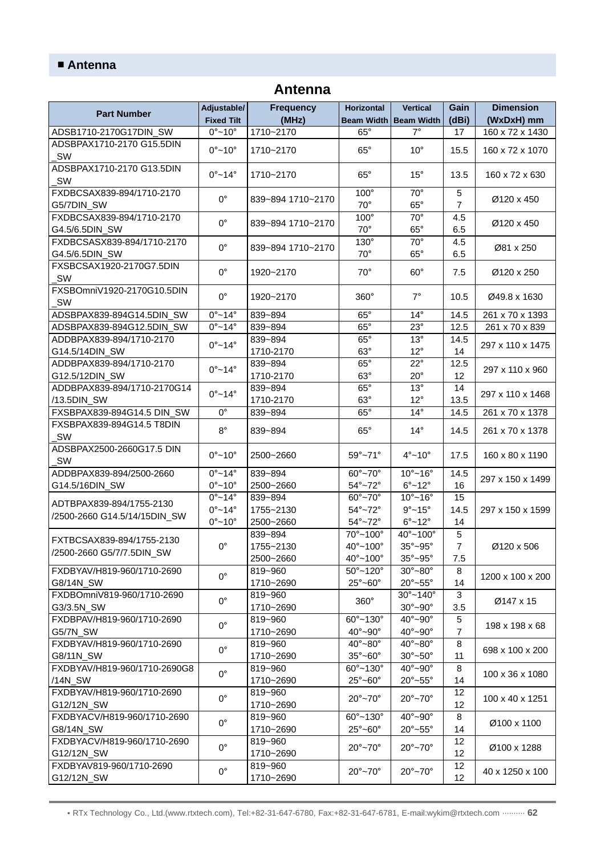## **Antenna**

| <b>Part Number</b>                           | Adjustable/<br><b>Fixed Tilt</b> | <b>Frequency</b><br>(MHz) | <b>Horizontal</b>            | <b>Vertical</b><br>Beam Width   Beam Width | Gain<br>(dBi)       | <b>Dimension</b><br>(WxDxH) mm |
|----------------------------------------------|----------------------------------|---------------------------|------------------------------|--------------------------------------------|---------------------|--------------------------------|
| ADSB1710-2170G17DIN_SW                       | $0^\circ$ ~10 $^\circ$           | 1710~2170                 | $65^\circ$                   | $7^\circ$                                  | 17                  | 160 x 72 x 1430                |
| ADSBPAX1710-2170 G15.5DIN                    |                                  |                           |                              |                                            |                     |                                |
| SW                                           | $0^\circ - 10^\circ$             | 1710~2170                 | $65^\circ$                   | $10^{\circ}$                               | 15.5                | 160 x 72 x 1070                |
| ADSBPAX1710-2170 G13.5DIN<br>SW              | $0^\circ \sim 14^\circ$          | 1710~2170                 | $65^\circ$                   | $15^{\circ}$                               | 13.5                | 160 x 72 x 630                 |
| FXDBCSAX839-894/1710-2170<br>G5/7DIN_SW      | $0^{\circ}$                      | 839~894 1710~2170         | $100^\circ$<br>$70^{\circ}$  | $70^{\circ}$<br>$65^\circ$                 | 5<br>$\overline{7}$ | Ø120 x 450                     |
| FXDBCSAX839-894/1710-2170<br>G4.5/6.5DIN_SW  | $0^{\circ}$                      | 839~894 1710~2170         | $100^\circ$<br>$70^{\circ}$  | $70^{\circ}$<br>$65^\circ$                 | 4.5<br>6.5          | Ø120 x 450                     |
| FXDBCSASX839-894/1710-2170<br>G4.5/6.5DIN_SW | $0^{\circ}$                      | 839~894 1710~2170         | $130^\circ$<br>$70^{\circ}$  | $70^{\circ}$<br>$65^\circ$                 | 4.5<br>6.5          | Ø81 x 250                      |
| FXSBCSAX1920-2170G7.5DIN<br>SW               | $0^{\circ}$                      | 1920~2170                 | $70^{\circ}$                 | $60^\circ$                                 | 7.5                 | Ø120 x 250                     |
| FXSBOmniV1920-2170G10.5DIN<br>SW             | $0^{\circ}$                      | 1920~2170                 | $360^\circ$                  | $7^\circ$                                  | 10.5                | Ø49.8 x 1630                   |
| ADSBPAX839-894G14.5DIN_SW                    | $0^\circ \sim 14^\circ$          | 839~894                   | $65^\circ$                   | $14^{\circ}$                               | 14.5                | 261 x 70 x 1393                |
| ADSBPAX839-894G12.5DIN_SW                    | $0^\circ$ ~14°                   | 839~894                   | $65^\circ$                   | $23^\circ$                                 | 12.5                | 261 x 70 x 839                 |
| ADDBPAX839-894/1710-2170                     | $0^{\circ}$ ~14°                 | 839~894                   | $65^\circ$                   | $13^\circ$                                 | 14.5                |                                |
| G14.5/14DIN_SW                               |                                  | 1710-2170                 | $63^\circ$                   | $12^{\circ}$                               | 14                  | 297 x 110 x 1475               |
| ADDBPAX839-894/1710-2170                     |                                  | 839~894                   | $65^\circ$                   | $22^{\circ}$                               | 12.5                |                                |
| G12.5/12DIN_SW                               | $0^\circ$ ~14 $^\circ$           | 1710-2170                 | $63^\circ$                   | $20^{\circ}$                               | 12                  | 297 x 110 x 960                |
| ADDBPAX839-894/1710-2170G14                  |                                  | 839~894                   | $65^\circ$                   | $13^\circ$                                 | 14                  |                                |
| /13.5DIN_SW                                  | $0^\circ$ ~14 $^\circ$           | 1710-2170                 | $63^\circ$                   | $12^{\circ}$                               | 13.5                | 297 x 110 x 1468               |
| FXSBPAX839-894G14.5 DIN_SW                   | $0^{\circ}$                      | 839~894                   | $65^\circ$                   | $14^{\circ}$                               | 14.5                | 261 x 70 x 1378                |
| FXSBPAX839-894G14.5 T8DIN<br>SW              | $8^{\circ}$                      | 839~894                   | $65^\circ$                   | $14^{\circ}$                               | 14.5                | 261 x 70 x 1378                |
| ADSBPAX2500-2660G17.5 DIN<br>SW              | $0^\circ - 10^\circ$             | 2500~2660                 | $59^\circ - 71^\circ$        | $4^\circ$ ~10 $^\circ$                     | 17.5                | 160 x 80 x 1190                |
| ADDBPAX839-894/2500-2660                     | $0^\circ$ ~14°                   | 839~894                   | $60^\circ - 70^\circ$        | $10^{\circ}$ ~16°                          | 14.5                |                                |
| G14.5/16DIN_SW                               | $0^\circ - 10^\circ$             | 2500~2660                 | $54^\circ$ ~72°              | $6^\circ$ ~12 $^\circ$                     | 16                  | 297 x 150 x 1499               |
|                                              | $0^\circ \sim 14^\circ$          | 839~894                   | $60^\circ - 70^\circ$        | $10^{\circ}$ ~16°                          | 15                  |                                |
| ADTBPAX839-894/1755-2130                     | $0^\circ$ ~14°                   | 1755~2130                 | $54^\circ$ ~72 $^\circ$      | $9^\circ$ ~15°                             | 14.5                | 297 x 150 x 1599               |
| /2500-2660 G14.5/14/15DIN_SW                 | $0^\circ$ ~10 $^\circ$           | 2500~2660                 | $54^\circ - 72^\circ$        | $6^\circ$ ~12 $^\circ$                     | 14                  |                                |
|                                              |                                  | 839~894                   | 70°~100°                     | $40^{\circ}$ ~100 $^{\circ}$               | 5                   |                                |
| FXTBCSAX839-894/1755-2130                    | $0^{\circ}$                      | 1755~2130                 | $40^{\circ}$ ~100°           | $35^\circ - 95^\circ$                      | $\overline{7}$      | Ø120 x 506                     |
| /2500-2660 G5/7/7.5DIN_SW                    |                                  | 2500~2660                 | $40^{\circ}$ ~100°           | $35^\circ - 95^\circ$                      | 7.5                 |                                |
| FXDBYAV/H819-960/1710-2690                   |                                  | 819~960                   | $50^{\circ}$ ~120 $^{\circ}$ | $30^\circ - 80^\circ$                      | 8                   |                                |
| G8/14N_SW                                    | $0^{\circ}$                      | 1710~2690                 | $25^\circ - 60^\circ$        | $20^\circ - 55^\circ$                      | 14                  | 1200 x 100 x 200               |
| FXDBOmniV819-960/1710-2690                   |                                  | 819~960                   |                              | $30^{\circ} - 140^{\circ}$                 | 3                   |                                |
| G3/3.5N_SW                                   | $0^{\circ}$                      | 1710~2690                 | 360°                         | $30^\circ - 90^\circ$                      | 3.5                 | Ø147 x 15                      |
| FXDBPAV/H819-960/1710-2690                   |                                  | 819~960                   | $60^{\circ} - 130^{\circ}$   | $40^{\circ}$ ~90°                          | 5                   |                                |
| G5/7N_SW                                     | $0^{\circ}$                      | 1710~2690                 | 40°~90°                      | 40°~90°                                    | $\overline{7}$      | 198 x 198 x 68                 |
| FXDBYAV/H819-960/1710-2690                   |                                  | 819~960                   | $40^\circ - 80^\circ$        | $40^\circ - 80^\circ$                      | 8                   |                                |
| G8/11N_SW                                    | $0^{\circ}$                      | 1710~2690                 | $35^\circ - 60^\circ$        | $30^\circ - 50^\circ$                      | 11                  | 698 x 100 x 200                |
| FXDBYAV/H819-960/1710-2690G8                 |                                  | 819~960                   | $60^{\circ} - 130^{\circ}$   | $40^{\circ}$ ~90°                          | 8                   |                                |
| /14N_SW                                      | $0^{\circ}$                      | 1710~2690                 | $25^\circ - 60^\circ$        | $20^\circ - 55^\circ$                      | 14                  | 100 x 36 x 1080                |
| FXDBYAV/H819-960/1710-2690                   | $0^{\circ}$                      | 819~960                   | $20^\circ - 70^\circ$        | $20^\circ - 70^\circ$                      | 12                  |                                |
| G12/12N_SW                                   |                                  | 1710~2690                 |                              |                                            | 12                  | 100 x 40 x 1251                |
| FXDBYACV/H819-960/1710-2690                  | $0^{\circ}$                      | 819~960                   | $60^{\circ} - 130^{\circ}$   | $40^\circ$ ~90°                            | 8                   |                                |
| G8/14N_SW                                    |                                  | 1710~2690                 | $25^\circ - 60^\circ$        | $20^\circ - 55^\circ$                      | 14                  | Ø100 x 1100                    |
| FXDBYACV/H819-960/1710-2690                  | $0^{\circ}$                      | 819~960                   | $20^\circ - 70^\circ$        | $20^\circ - 70^\circ$                      | 12                  | Ø100 x 1288                    |
| G12/12N_SW                                   |                                  | 1710~2690                 |                              |                                            | 12                  |                                |
| FXDBYAV819-960/1710-2690                     | $0^{\circ}$                      | 819~960                   | $20^\circ - 70^\circ$        | $20^\circ - 70^\circ$                      | 12                  | 40 x 1250 x 100                |
| G12/12N_SW                                   |                                  | 1710~2690                 |                              |                                            | 12                  |                                |

• RTx Technology Co., Ltd.(www.rtxtech.com), Tel:+82-31-647-6780, Fax:+82-31-647-6781, E-mail:wykim@rtxtech.com ·········· **62**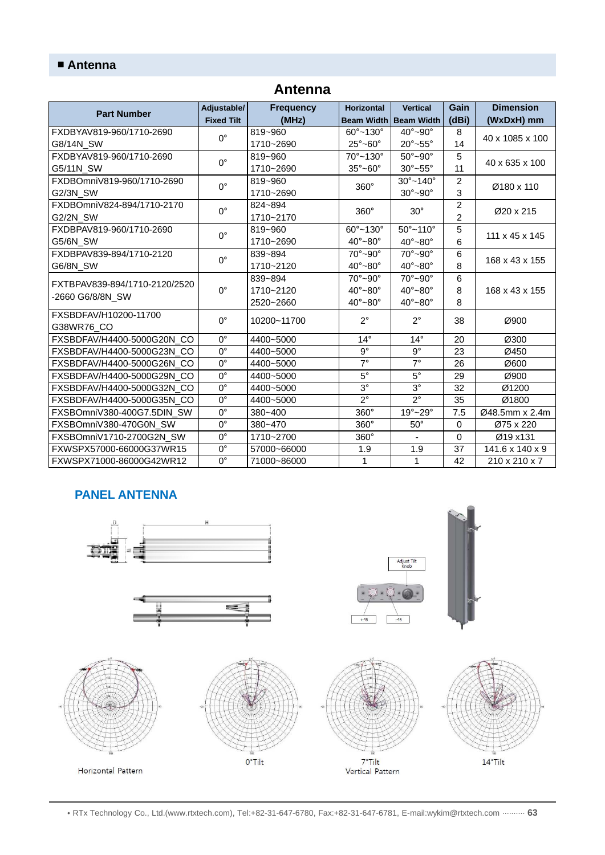| <b>Part Number</b>                                | Adjustable/                 | <b>Frequency</b> | <b>Horizontal</b>            | <b>Vertical</b>            | Gain             | <b>Dimension</b>     |
|---------------------------------------------------|-----------------------------|------------------|------------------------------|----------------------------|------------------|----------------------|
|                                                   | <b>Fixed Tilt</b>           | (MHz)            | <b>Beam Width</b>            | <b>Beam Width</b>          | (dBi)            | (WxDxH) mm           |
| FXDBYAV819-960/1710-2690                          |                             | 819~960          | $60^{\circ}$ ~130 $^{\circ}$ | $40^\circ - 90^\circ$      | 8                | 40 x 1085 x 100      |
| G8/14N SW                                         | $0^{\circ}$                 | 1710~2690        | $25^\circ - 60^\circ$        | $20^\circ - 55^\circ$      | 14               |                      |
| FXDBYAV819-960/1710-2690                          | $0^{\circ}$                 | 819~960          | $70^{\circ}$ ~130 $^{\circ}$ | $50^\circ - 90^\circ$      | 5                | 40 x 635 x 100<br>11 |
| G5/11N_SW                                         |                             | 1710~2690        | $35^\circ - 60^\circ$        | $30^\circ \sim 55^\circ$   |                  |                      |
| FXDBOmniV819-960/1710-2690                        | $0^{\circ}$                 | 819~960          | 360°                         | $30^{\circ}$ ~140°         | $\overline{c}$   | Ø180 x 110           |
| G2/3N SW                                          |                             | 1710~2690        |                              | $30^\circ - 90^\circ$      | 3                |                      |
| FXDBOmniV824-894/1710-2170                        | $0^{\circ}$                 | 824~894          | $360^\circ$                  | $30^\circ$                 | $\boldsymbol{2}$ | Ø20 x 215            |
| G2/2N_SW                                          |                             | 1710~2170        |                              |                            | $\overline{2}$   |                      |
| FXDBPAV819-960/1710-2690                          | $0^{\circ}$                 | 819~960          | $60^{\circ}$ ~130 $^{\circ}$ | $50^{\circ} - 110^{\circ}$ | 5                | 111 x 45 x 145       |
| G5/6N_SW                                          |                             | 1710~2690        | $40^\circ - 80^\circ$        | $40^\circ - 80^\circ$      | 6                |                      |
| FXDBPAV839-894/1710-2120                          | $0^{\circ}$                 | 839~894          | $70^\circ$ ~90 $^\circ$      | $70^\circ$ ~90°            | 6                | 168 x 43 x 155       |
| G6/8N SW                                          |                             | 1710~2120        | $40^\circ - 80^\circ$        | $40^\circ - 80^\circ$      | 8                |                      |
| FXTBPAV839-894/1710-2120/2520<br>-2660 G6/8/8N_SW | $\Omega^{\circ}$            | 839~894          | $70^\circ$ ~90 $^\circ$      | $70^\circ$ ~90°            | 6                | 168 x 43 x 155       |
|                                                   |                             | 1710~2120        | $40^\circ - 80^\circ$        | $40^\circ - 80^\circ$      | 8                |                      |
|                                                   |                             | 2520~2660        | $40^\circ - 80^\circ$        | $40^\circ - 80^\circ$      | 8                |                      |
| FXSBDFAV/H10200-11700                             | $0^{\circ}$                 | 10200~11700      | $2^{\circ}$                  | $2^{\circ}$                | 38               | Ø900                 |
| G38WR76_CO                                        |                             |                  |                              |                            |                  |                      |
| FXSBDFAV/H4400-5000G20N CO                        | $\overline{0}$ <sup>o</sup> | 4400~5000        | $14^{\circ}$                 | $14^{\circ}$               | 20               | Ø300                 |
| FXSBDFAV/H4400-5000G23N_CO                        | $0^{\circ}$                 | 4400~5000        | $9^{\circ}$                  | $9^{\circ}$                | 23               | Ø450                 |
| FXSBDFAV/H4400-5000G26N_CO                        | $0^{\circ}$                 | 4400~5000        | $7^\circ$                    | $7^\circ$                  | 26               | Ø600                 |
| FXSBDFAV/H4400-5000G29N CO                        | $\overline{0}$              | 4400~5000        | $5^{\circ}$                  | $5^{\circ}$                | 29               | Ø900                 |
| FXSBDFAV/H4400-5000G32N_CO                        | $0^{\circ}$                 | 4400~5000        | $3^{\circ}$                  | $3^{\circ}$                | 32               | Ø1200                |
| FXSBDFAV/H4400-5000G35N_CO                        | $0^{\circ}$                 | 4400~5000        | $2^{\circ}$                  | $2^{\circ}$                | 35               | Ø1800                |
| FXSBOmniV380-400G7.5DIN SW                        | $0^{\circ}$                 | $380 - 400$      | 360°                         | $19^\circ - 29^\circ$      | 7.5              | Ø48.5mm x 2.4m       |
| FXSBOmniV380-470G0N_SW                            | $0^{\circ}$                 | 380~470          | $360^\circ$                  | $50^\circ$                 | 0                | Ø75 x 220            |
| FXSBOmniV1710-2700G2N_SW                          | $0^{\circ}$                 | 1710~2700        | 360°                         |                            | $\Omega$         | Ø19 x131             |
| FXWSPX57000-66000G37WR15                          | $0^{\circ}$                 | 57000~66000      | 1.9                          | 1.9                        | 37               | 141.6 x 140 x 9      |
| FXWSPX71000-86000G42WR12                          | $0^{\circ}$                 | 71000~86000      | $\mathbf{1}$                 | 1                          | 42               | 210 x 210 x 7        |

## **Antenna**

## **PANEL ANTENNA**



• RTx Technology Co., Ltd.(www.rtxtech.com), Tel:+82-31-647-6780, Fax:+82-31-647-6781, E-mail:wykim@rtxtech.com ·········· **63**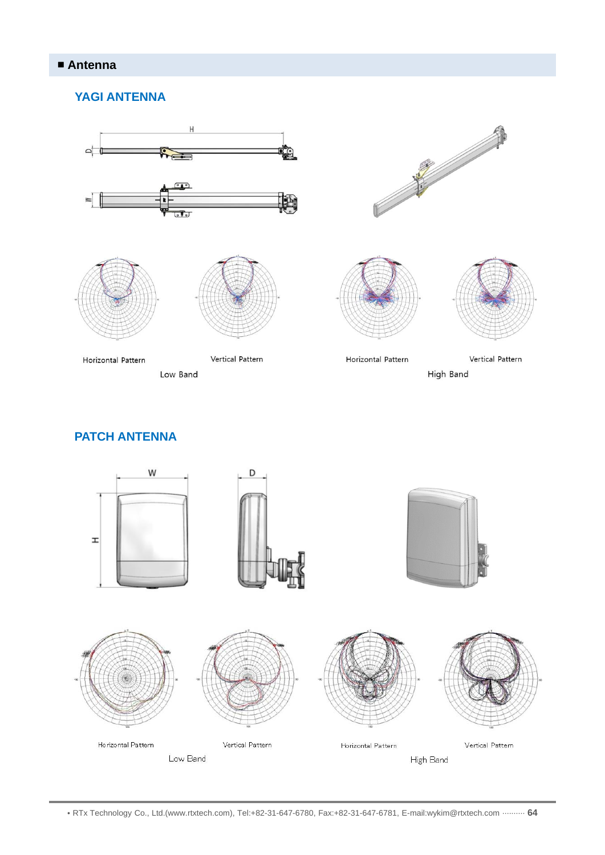#### **YAGI ANTENNA**



## **PATCH ANTENNA**